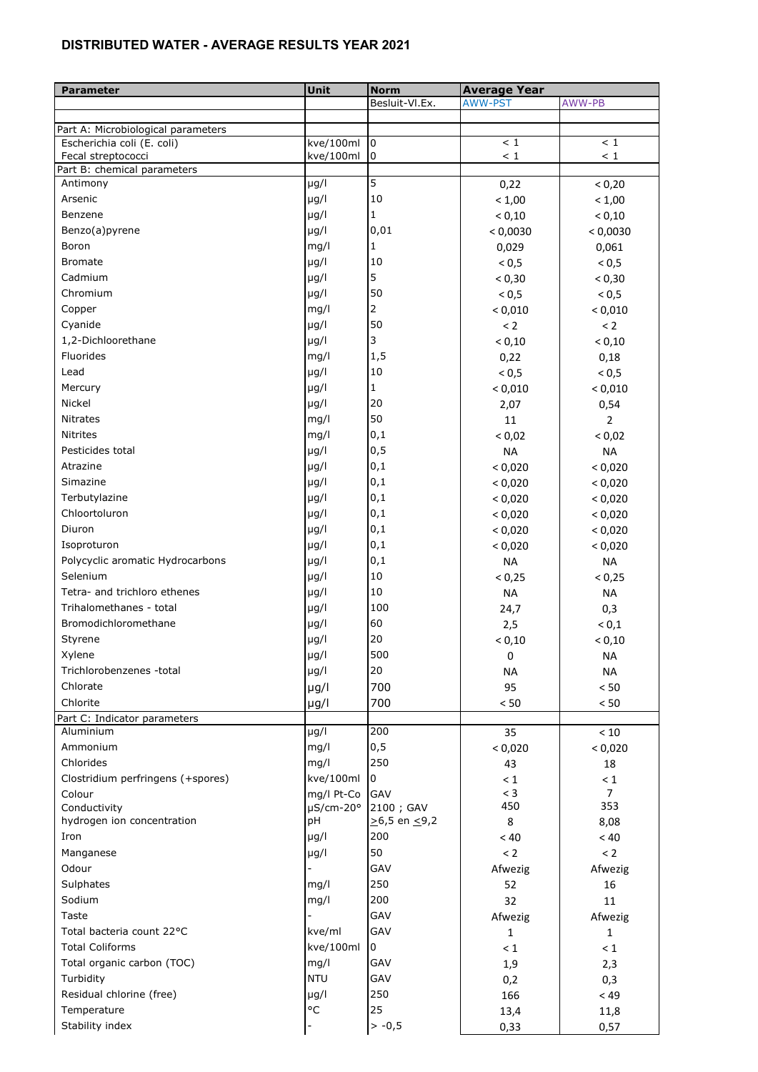## **DISTRIBUTED WATER - AVERAGE RESULTS YEAR 2021**

| <b>Parameter</b>                                                 | Unit               | <b>Norm</b>              | <b>Average Year</b> |                 |
|------------------------------------------------------------------|--------------------|--------------------------|---------------------|-----------------|
|                                                                  |                    | Besluit-Vl.Ex.           | <b>AWW-PST</b>      | AWW-PB          |
|                                                                  |                    |                          |                     |                 |
| Part A: Microbiological parameters<br>Escherichia coli (E. coli) | kve/100ml          | $\overline{0}$           | < 1                 | $<\,1$          |
| Fecal streptococci                                               | kve/100ml          | 10                       | < 1                 | $<\,1$          |
| Part B: chemical parameters                                      |                    |                          |                     |                 |
| Antimony                                                         | $\mu$ g/l          | $\overline{5}$           | 0,22                | < 0,20          |
| Arsenic                                                          | $\mu$ g/l          | 10                       | < 1,00              | < 1,00          |
| Benzene                                                          | $\mu$ g/l          | $\mathbf{1}$             | < 0,10              | < 0,10          |
| Benzo(a)pyrene                                                   | $\mu$ g/l          | 0,01                     | < 0,0030            | < 0,0030        |
| Boron                                                            | mg/l               | $\mathbf{1}$             | 0,029               | 0,061           |
| <b>Bromate</b>                                                   | $\mu$ g/l          | 10                       | < 0, 5              | < 0, 5          |
| Cadmium                                                          | $\mu$ g/l          | 5                        | < 0,30              | < 0,30          |
| Chromium                                                         | $\mu$ g/l          | 50                       | < 0, 5              | ${}_{0,5}$      |
| Copper                                                           | mg/l               | $\overline{2}$           | < 0,010             | < 0,010         |
| Cyanide                                                          | $\mu$ g/l          | 50                       | < 2                 | < 2             |
| 1,2-Dichloorethane                                               | µg/l               | 3                        | < 0,10              | < 0,10          |
| Fluorides                                                        | mg/l               | 1, 5                     | 0,22                | 0,18            |
| Lead                                                             | $\mu$ g/l          | 10                       | < 0, 5              | < 0, 5          |
| Mercury                                                          | $\mu$ g/l          | $\mathbf{1}$             | < 0,010             | < 0,010         |
| Nickel                                                           | $\mu$ g/l          | 20                       | 2,07                | 0,54            |
| <b>Nitrates</b>                                                  | mg/l               | 50                       | 11                  | $\overline{2}$  |
| <b>Nitrites</b>                                                  | mg/l               | 0,1                      | < 0,02              | < 0,02          |
| Pesticides total                                                 | $\mu$ g/l          | 0, 5                     | <b>NA</b>           | <b>NA</b>       |
| Atrazine                                                         | µg/l               | 0,1                      | < 0,020             | < 0,020         |
| Simazine                                                         | µg/l               | 0,1                      | < 0,020             | < 0,020         |
| Terbutylazine                                                    | µg/l               | 0,1                      | < 0,020             | < 0,020         |
| Chloortoluron                                                    | µg/l               | 0,1                      | < 0,020             | < 0,020         |
| Diuron                                                           | µg/l               | 0,1                      | < 0,020             | < 0,020         |
| Isoproturon                                                      | $\mu$ g/l          | 0,1                      | < 0,020             | < 0,020         |
| Polycyclic aromatic Hydrocarbons                                 | $\mu$ g/l          | 0,1                      | <b>NA</b>           | <b>NA</b>       |
| Selenium                                                         | $\mu$ g/l          | 10                       | < 0,25              | < 0,25          |
| Tetra- and trichloro ethenes                                     | µg/l               | 10                       | <b>NA</b>           | <b>NA</b>       |
| Trihalomethanes - total                                          | $\mu$ g/l          | 100                      |                     | 0,3             |
| Bromodichloromethane                                             | µg/l               | 60                       | 24,7                | < 0,1           |
| Styrene                                                          | $\mu$ g/l          | 20                       | 2,5                 |                 |
| Xylene                                                           | $\mu$ g/l          | 500                      | < 0,10              | < 0,10          |
| Trichlorobenzenes -total                                         | $\mu$ g/l          | 20                       | 0                   | NА<br><b>NA</b> |
| Chlorate                                                         |                    | 700                      | <b>NA</b>           |                 |
| Chlorite                                                         | $\mu$ g/l          | 700                      | 95                  | $< 50$          |
| Part C: Indicator parameters                                     | $\mu$ g/l          |                          | $< 50$              | $< 50$          |
| Aluminium                                                        | $\mu$ g/l          | 200                      | 35                  | $<10$           |
| Ammonium                                                         | mg/l               | 0, 5                     | < 0,020             | < 0,020         |
| Chlorides                                                        | mg/l               | 250                      | 43                  | 18              |
| Clostridium perfringens (+spores)                                | kve/100ml          | 10                       | $\leq 1$            | $\leq 1$        |
| Colour                                                           | mg/l Pt-Co         | <b>GAV</b>               | $<$ 3               | $\overline{7}$  |
| Conductivity                                                     | $\mu$ S/cm-20°     | 2100 ; GAV               | 450                 | 353             |
| hydrogen ion concentration                                       | pH                 | $\ge 6, 5$ en $\le 9, 2$ | 8                   | 8,08            |
| Iron                                                             | µg/l               | 200                      | < 40                | $<40$           |
| Manganese                                                        | µg/l               | 50                       | $\leq$ 2            | < 2             |
| Odour                                                            |                    | GAV                      | Afwezig             | Afwezig         |
| Sulphates                                                        | mg/l               | 250                      | 52                  | 16              |
| Sodium                                                           | mg/l               | 200                      | 32                  | 11              |
| Taste                                                            |                    | GAV                      | Afwezig             | Afwezig         |
| Total bacteria count 22°C                                        | kve/ml             | GAV                      | 1                   | $\mathbf{1}$    |
| <b>Total Coliforms</b>                                           | kve/100ml          | 0                        | $\leq 1$            | $\leq 1$        |
| Total organic carbon (TOC)                                       | mg/l               | GAV                      | 1,9                 | 2,3             |
| Turbidity                                                        | <b>NTU</b>         | GAV                      | 0,2                 | 0,3             |
| Residual chlorine (free)                                         | $\mu$ g/l          | 250                      | 166                 | < 49            |
| Temperature                                                      | $\circ \mathsf{C}$ | 25                       | 13,4                | 11,8            |
| Stability index                                                  |                    | $> -0,5$                 | 0,33                | 0,57            |